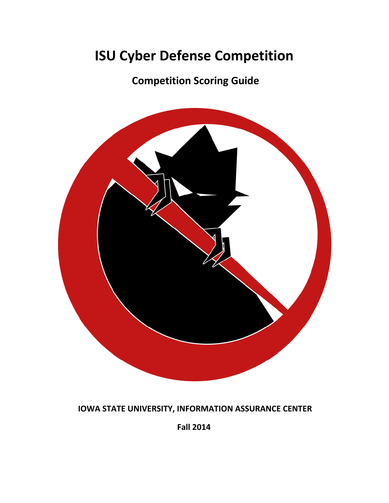# **ISU Cyber Defense Competition**

**Competition Scoring Guide**



**IOWA STATE UNIVERSITY, INFORMATION ASSURANCE CENTER**

**Fall 2014**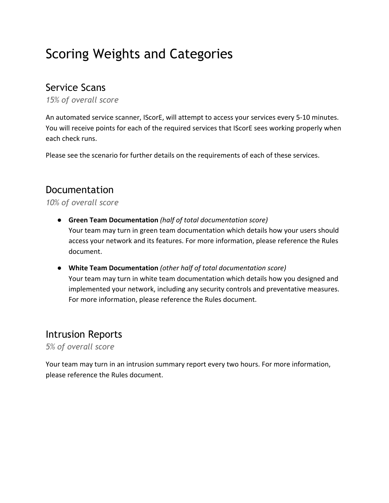# Scoring Weights and Categories

### Service Scans

*15% of overall score*

An automated service scanner, IScorE, will attempt to access your services every 5-10 minutes. You will receive points for each of the required services that IScorE sees working properly when each check runs.

Please see the scenario for further details on the requirements of each of these services.

#### Documentation

*10% of overall score*

- **Green Team Documentation** *(half of total documentation score)* Your team may turn in green team documentation which details how your users should access your network and its features. For more information, please reference the Rules document.
- **White Team Documentation** *(other half of total documentation score)* Your team may turn in white team documentation which details how you designed and implemented your network, including any security controls and preventative measures. For more information, please reference the Rules document.

#### Intrusion Reports

*5% of overall score*

Your team may turn in an intrusion summary report every two hours. For more information, please reference the Rules document.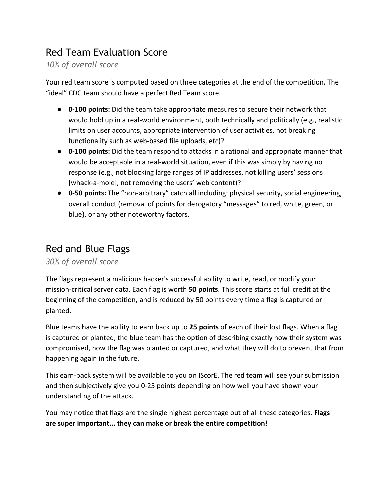# Red Team Evaluation Score

*10% of overall score*

Your red team score is computed based on three categories at the end of the competition. The "ideal" CDC team should have a perfect Red Team score.

- **0-100 points:** Did the team take appropriate measures to secure their network that would hold up in a real-world environment, both technically and politically (e.g., realistic limits on user accounts, appropriate intervention of user activities, not breaking functionality such as web-based file uploads, etc)?
- **0-100 points:** Did the team respond to attacks in a rational and appropriate manner that would be acceptable in a real-world situation, even if this was simply by having no response (e.g., not blocking large ranges of IP addresses, not killing users' sessions [whack-a-mole], not removing the users' web content)?
- **0-50 points:** The "non-arbitrary" catch all including: physical security, social engineering, overall conduct (removal of points for derogatory "messages" to red, white, green, or blue), or any other noteworthy factors.

### Red and Blue Flags

#### *30% of overall score*

The flags represent a malicious hacker's successful ability to write, read, or modify your mission-critical server data. Each flag is worth **50 points**. This score starts at full credit at the beginning of the competition, and is reduced by 50 points every time a flag is captured or planted.

Blue teams have the ability to earn back up to **25 points** of each of their lost flags. When a flag is captured or planted, the blue team has the option of describing exactly how their system was compromised, how the flag was planted or captured, and what they will do to prevent that from happening again in the future.

This earn-back system will be available to you on IScorE. The red team will see your submission and then subjectively give you 0-25 points depending on how well you have shown your understanding of the attack.

You may notice that flags are the single highest percentage out of all these categories. **Flags are super important... they can make or break the entire competition!**